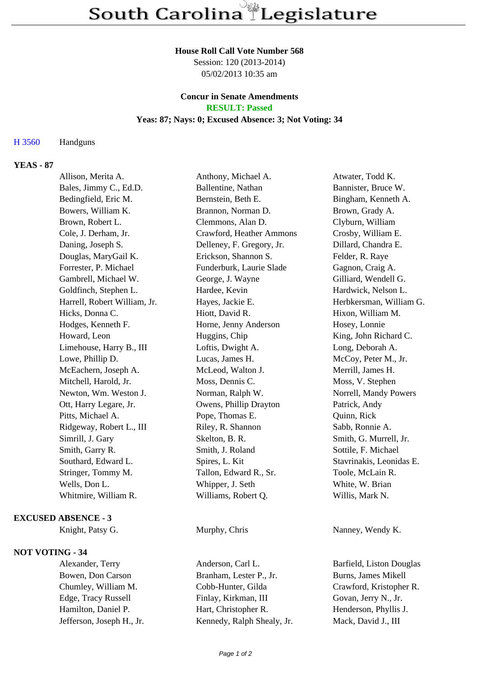## **House Roll Call Vote Number 568**

Session: 120 (2013-2014) 05/02/2013 10:35 am

## **Concur in Senate Amendments RESULT: Passed**

# **Yeas: 87; Nays: 0; Excused Absence: 3; Not Voting: 34**

## H 3560 Handguns

# **YEAS - 87**

| Allison, Merita A.           | Anthony, Michael A.       | Atwater, Todd K.         |
|------------------------------|---------------------------|--------------------------|
| Bales, Jimmy C., Ed.D.       | Ballentine, Nathan        | Bannister, Bruce W.      |
| Bedingfield, Eric M.         | Bernstein, Beth E.        | Bingham, Kenneth A.      |
| Bowers, William K.           | Brannon, Norman D.        | Brown, Grady A.          |
| Brown, Robert L.             | Clemmons, Alan D.         | Clyburn, William         |
| Cole, J. Derham, Jr.         | Crawford, Heather Ammons  | Crosby, William E.       |
| Daning, Joseph S.            | Delleney, F. Gregory, Jr. | Dillard, Chandra E.      |
| Douglas, MaryGail K.         | Erickson, Shannon S.      | Felder, R. Raye          |
| Forrester, P. Michael        | Funderburk, Laurie Slade  | Gagnon, Craig A.         |
| Gambrell, Michael W.         | George, J. Wayne          | Gilliard, Wendell G.     |
| Goldfinch, Stephen L.        | Hardee, Kevin             | Hardwick, Nelson L.      |
| Harrell, Robert William, Jr. | Hayes, Jackie E.          | Herbkersman, William G.  |
| Hicks, Donna C.              | Hiott, David R.           | Hixon, William M.        |
| Hodges, Kenneth F.           | Horne, Jenny Anderson     | Hosey, Lonnie            |
| Howard, Leon                 | Huggins, Chip             | King, John Richard C.    |
| Limehouse, Harry B., III     | Loftis, Dwight A.         | Long, Deborah A.         |
| Lowe, Phillip D.             | Lucas, James H.           | McCoy, Peter M., Jr.     |
| McEachern, Joseph A.         | McLeod, Walton J.         | Merrill, James H.        |
| Mitchell, Harold, Jr.        | Moss, Dennis C.           | Moss, V. Stephen         |
| Newton, Wm. Weston J.        | Norman, Ralph W.          | Norrell, Mandy Powers    |
| Ott, Harry Legare, Jr.       | Owens, Phillip Drayton    | Patrick, Andy            |
| Pitts, Michael A.            | Pope, Thomas E.           | Quinn, Rick              |
| Ridgeway, Robert L., III     | Riley, R. Shannon         | Sabb, Ronnie A.          |
| Simrill, J. Gary             | Skelton, B. R.            | Smith, G. Murrell, Jr.   |
| Smith, Garry R.              | Smith, J. Roland          | Sottile, F. Michael      |
| Southard, Edward L.          | Spires, L. Kit            | Stavrinakis, Leonidas E. |
| Stringer, Tommy M.           | Tallon, Edward R., Sr.    | Toole, McLain R.         |
| Wells, Don L.                | Whipper, J. Seth          | White, W. Brian          |
| Whitmire, William R.         | Williams, Robert Q.       | Willis, Mark N.          |
|                              |                           |                          |

## **EXCUSED ABSENCE - 3**

## **NOT VOTING - 34**

Alexander, Terry Anderson, Carl L. Barfield, Liston Douglas Bowen, Don Carson Branham, Lester P., Jr. Burns, James Mikell Chumley, William M. Cobb-Hunter, Gilda Crawford, Kristopher R. Edge, Tracy Russell Finlay, Kirkman, III Govan, Jerry N., Jr. Hamilton, Daniel P. Hart, Christopher R. Henderson, Phyllis J. Jefferson, Joseph H., Jr. Kennedy, Ralph Shealy, Jr. Mack, David J., III

Knight, Patsy G. Murphy, Chris Nanney, Wendy K.